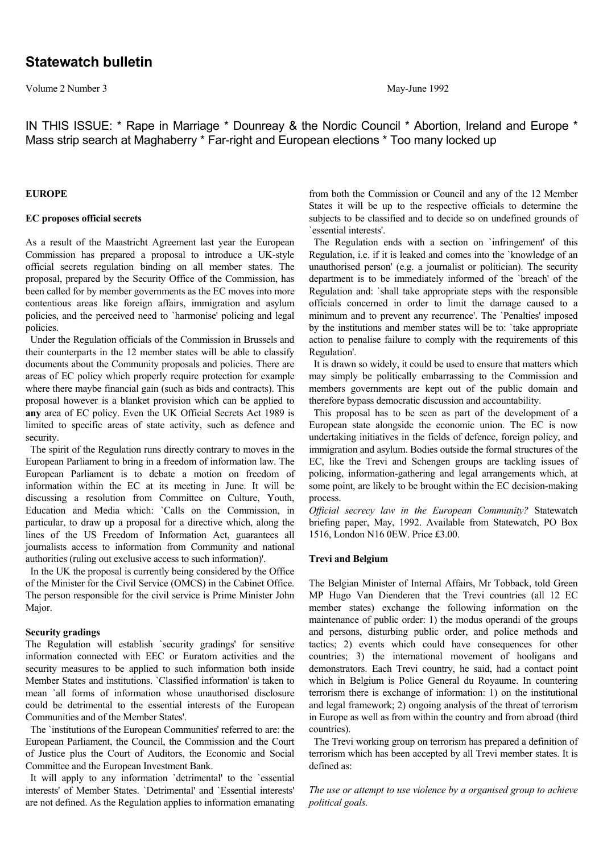Volume 2 Number 3 May-June 1992

IN THIS ISSUE: \* Rape in Marriage \* Dounreay & the Nordic Council \* Abortion, Ireland and Europe \* Mass strip search at Maghaberry \* Far-right and European elections \* Too many locked up

### **EUROPE**

# **EC proposes official secrets**

As a result of the Maastricht Agreement last year the European Commission has prepared a proposal to introduce a UK-style official secrets regulation binding on all member states. The proposal, prepared by the Security Office of the Commission, has been called for by member governments as the EC moves into more contentious areas like foreign affairs, immigration and asylum policies, and the perceived need to `harmonise' policing and legal policies.

 Under the Regulation officials of the Commission in Brussels and their counterparts in the 12 member states will be able to classify documents about the Community proposals and policies. There are areas of EC policy which properly require protection for example where there maybe financial gain (such as bids and contracts). This proposal however is a blanket provision which can be applied to **any** area of EC policy. Even the UK Official Secrets Act 1989 is limited to specific areas of state activity, such as defence and security.

 The spirit of the Regulation runs directly contrary to moves in the European Parliament to bring in a freedom of information law. The European Parliament is to debate a motion on freedom of information within the EC at its meeting in June. It will be discussing a resolution from Committee on Culture, Youth, Education and Media which: `Calls on the Commission, in particular, to draw up a proposal for a directive which, along the lines of the US Freedom of Information Act, guarantees all journalists access to information from Community and national authorities (ruling out exclusive access to such information)'.

 In the UK the proposal is currently being considered by the Office of the Minister for the Civil Service (OMCS) in the Cabinet Office. The person responsible for the civil service is Prime Minister John Major.

# **Security gradings**

The Regulation will establish `security gradings' for sensitive information connected with EEC or Euratom activities and the security measures to be applied to such information both inside Member States and institutions. `Classified information' is taken to mean `all forms of information whose unauthorised disclosure could be detrimental to the essential interests of the European Communities and of the Member States'.

 The `institutions of the European Communities' referred to are: the European Parliament, the Council, the Commission and the Court of Justice plus the Court of Auditors, the Economic and Social Committee and the European Investment Bank.

 It will apply to any information `detrimental' to the `essential interests' of Member States. `Detrimental' and `Essential interests' are not defined. As the Regulation applies to information emanating from both the Commission or Council and any of the 12 Member States it will be up to the respective officials to determine the subjects to be classified and to decide so on undefined grounds of `essential interests'.

 The Regulation ends with a section on `infringement' of this Regulation, i.e. if it is leaked and comes into the `knowledge of an unauthorised person' (e.g. a journalist or politician). The security department is to be immediately informed of the `breach' of the Regulation and: `shall take appropriate steps with the responsible officials concerned in order to limit the damage caused to a minimum and to prevent any recurrence'. The `Penalties' imposed by the institutions and member states will be to: 'take appropriate action to penalise failure to comply with the requirements of this Regulation'.

 It is drawn so widely, it could be used to ensure that matters which may simply be politically embarrassing to the Commission and members governments are kept out of the public domain and therefore bypass democratic discussion and accountability.

 This proposal has to be seen as part of the development of a European state alongside the economic union. The EC is now undertaking initiatives in the fields of defence, foreign policy, and immigration and asylum. Bodies outside the formal structures of the EC, like the Trevi and Schengen groups are tackling issues of policing, information-gathering and legal arrangements which, at some point, are likely to be brought within the EC decision-making process.

*Official secrecy law in the European Community?* Statewatch briefing paper, May, 1992. Available from Statewatch, PO Box 1516, London N16 0EW. Price £3.00.

### **Trevi and Belgium**

The Belgian Minister of Internal Affairs, Mr Tobback, told Green MP Hugo Van Dienderen that the Trevi countries (all 12 EC member states) exchange the following information on the maintenance of public order: 1) the modus operandi of the groups and persons, disturbing public order, and police methods and tactics; 2) events which could have consequences for other countries; 3) the international movement of hooligans and demonstrators. Each Trevi country, he said, had a contact point which in Belgium is Police General du Royaume. In countering terrorism there is exchange of information: 1) on the institutional and legal framework; 2) ongoing analysis of the threat of terrorism in Europe as well as from within the country and from abroad (third countries).

 The Trevi working group on terrorism has prepared a definition of terrorism which has been accepted by all Trevi member states. It is defined as:

*The use or attempt to use violence by a organised group to achieve political goals.*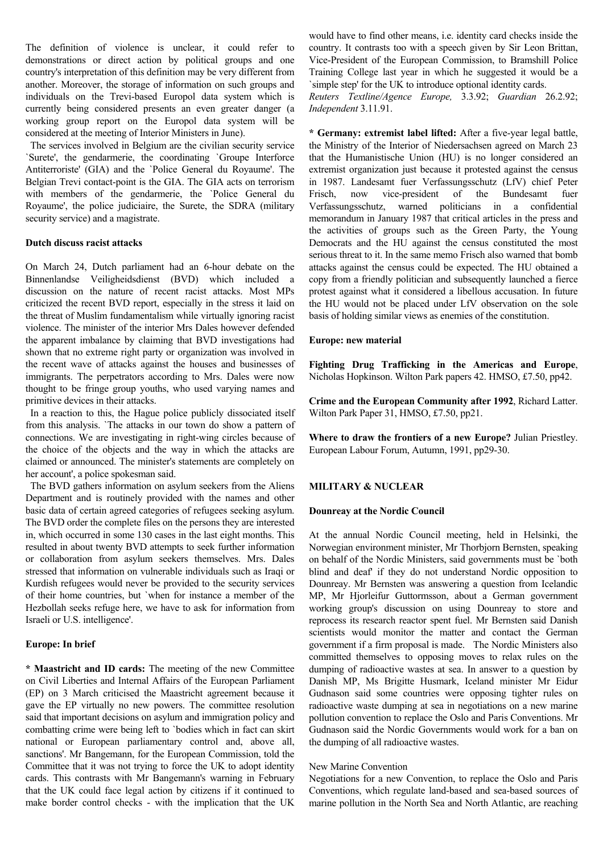The definition of violence is unclear, it could refer to demonstrations or direct action by political groups and one country's interpretation of this definition may be very different from another. Moreover, the storage of information on such groups and individuals on the Trevi-based Europol data system which is currently being considered presents an even greater danger (a working group report on the Europol data system will be considered at the meeting of Interior Ministers in June).

 The services involved in Belgium are the civilian security service `Surete', the gendarmerie, the coordinating `Groupe Interforce Antiterroriste' (GIA) and the `Police General du Royaume'. The Belgian Trevi contact-point is the GIA. The GIA acts on terrorism with members of the gendarmerie, the `Police General du Royaume', the police judiciaire, the Surete, the SDRA (military security service) and a magistrate.

# **Dutch discuss racist attacks**

On March 24, Dutch parliament had an 6-hour debate on the Binnenlandse Veiligheidsdienst (BVD) which included a discussion on the nature of recent racist attacks. Most MPs criticized the recent BVD report, especially in the stress it laid on the threat of Muslim fundamentalism while virtually ignoring racist violence. The minister of the interior Mrs Dales however defended the apparent imbalance by claiming that BVD investigations had shown that no extreme right party or organization was involved in the recent wave of attacks against the houses and businesses of immigrants. The perpetrators according to Mrs. Dales were now thought to be fringe group youths, who used varying names and primitive devices in their attacks.

 In a reaction to this, the Hague police publicly dissociated itself from this analysis. `The attacks in our town do show a pattern of connections. We are investigating in right-wing circles because of the choice of the objects and the way in which the attacks are claimed or announced. The minister's statements are completely on her account', a police spokesman said.

 The BVD gathers information on asylum seekers from the Aliens Department and is routinely provided with the names and other basic data of certain agreed categories of refugees seeking asylum. The BVD order the complete files on the persons they are interested in, which occurred in some 130 cases in the last eight months. This resulted in about twenty BVD attempts to seek further information or collaboration from asylum seekers themselves. Mrs. Dales stressed that information on vulnerable individuals such as Iraqi or Kurdish refugees would never be provided to the security services of their home countries, but `when for instance a member of the Hezbollah seeks refuge here, we have to ask for information from Israeli or U.S. intelligence'.

### **Europe: In brief**

**\* Maastricht and ID cards:** The meeting of the new Committee on Civil Liberties and Internal Affairs of the European Parliament (EP) on 3 March criticised the Maastricht agreement because it gave the EP virtually no new powers. The committee resolution said that important decisions on asylum and immigration policy and combatting crime were being left to `bodies which in fact can skirt national or European parliamentary control and, above all, sanctions'. Mr Bangemann, for the European Commission, told the Committee that it was not trying to force the UK to adopt identity cards. This contrasts with Mr Bangemann's warning in February that the UK could face legal action by citizens if it continued to make border control checks - with the implication that the UK

would have to find other means, i.e. identity card checks inside the country. It contrasts too with a speech given by Sir Leon Brittan, Vice-President of the European Commission, to Bramshill Police Training College last year in which he suggested it would be a `simple step' for the UK to introduce optional identity cards.

*Reuters Textline/Agence Europe,* 3.3.92; *Guardian* 26.2.92; *Independent* 3.11.91.

**\* Germany: extremist label lifted:** After a five-year legal battle, the Ministry of the Interior of Niedersachsen agreed on March 23 that the Humanistische Union (HU) is no longer considered an extremist organization just because it protested against the census in 1987. Landesamt fuer Verfassungsschutz (LfV) chief Peter Frisch, now vice-president of the Bundesamt fuer Verfassungsschutz, warned politicians in a confidential memorandum in January 1987 that critical articles in the press and the activities of groups such as the Green Party, the Young Democrats and the HU against the census constituted the most serious threat to it. In the same memo Frisch also warned that bomb attacks against the census could be expected. The HU obtained a copy from a friendly politician and subsequently launched a fierce protest against what it considered a libellous accusation. In future the HU would not be placed under LfV observation on the sole basis of holding similar views as enemies of the constitution.

#### **Europe: new material**

**Fighting Drug Trafficking in the Americas and Europe**, Nicholas Hopkinson. Wilton Park papers 42. HMSO, £7.50, pp42.

**Crime and the European Community after 1992**, Richard Latter. Wilton Park Paper 31, HMSO, £7.50, pp21.

**Where to draw the frontiers of a new Europe?** Julian Priestley. European Labour Forum, Autumn, 1991, pp29-30.

### **MILITARY & NUCLEAR**

#### **Dounreay at the Nordic Council**

At the annual Nordic Council meeting, held in Helsinki, the Norwegian environment minister, Mr Thorbjorn Bernsten, speaking on behalf of the Nordic Ministers, said governments must be `both blind and deaf' if they do not understand Nordic opposition to Dounreay. Mr Bernsten was answering a question from Icelandic MP, Mr Hjorleifur Guttormsson, about a German government working group's discussion on using Dounreay to store and reprocess its research reactor spent fuel. Mr Bernsten said Danish scientists would monitor the matter and contact the German government if a firm proposal is made. The Nordic Ministers also committed themselves to opposing moves to relax rules on the dumping of radioactive wastes at sea. In answer to a question by Danish MP, Ms Brigitte Husmark, Iceland minister Mr Eidur Gudnason said some countries were opposing tighter rules on radioactive waste dumping at sea in negotiations on a new marine pollution convention to replace the Oslo and Paris Conventions. Mr Gudnason said the Nordic Governments would work for a ban on the dumping of all radioactive wastes.

### New Marine Convention

Negotiations for a new Convention, to replace the Oslo and Paris Conventions, which regulate land-based and sea-based sources of marine pollution in the North Sea and North Atlantic, are reaching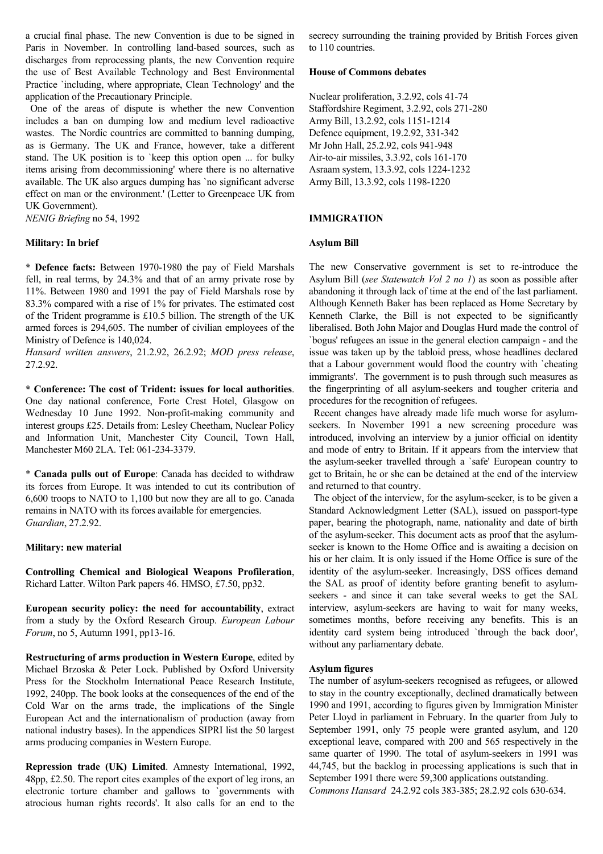a crucial final phase. The new Convention is due to be signed in Paris in November. In controlling land-based sources, such as discharges from reprocessing plants, the new Convention require the use of Best Available Technology and Best Environmental Practice `including, where appropriate, Clean Technology' and the application of the Precautionary Principle.

 One of the areas of dispute is whether the new Convention includes a ban on dumping low and medium level radioactive wastes. The Nordic countries are committed to banning dumping, as is Germany. The UK and France, however, take a different stand. The UK position is to `keep this option open ... for bulky items arising from decommissioning' where there is no alternative available. The UK also argues dumping has `no significant adverse effect on man or the environment.' (Letter to Greenpeace UK from UK Government).

*NENIG Briefing* no 54, 1992

# **Military: In brief**

**\* Defence facts:** Between 1970-1980 the pay of Field Marshals fell, in real terms, by 24.3% and that of an army private rose by 11%. Between 1980 and 1991 the pay of Field Marshals rose by 83.3% compared with a rise of 1% for privates. The estimated cost of the Trident programme is £10.5 billion. The strength of the UK armed forces is 294,605. The number of civilian employees of the Ministry of Defence is 140,024.

*Hansard written answers*, 21.2.92, 26.2.92; *MOD press release*, 27.2.92.

**\* Conference: The cost of Trident: issues for local authorities**. One day national conference, Forte Crest Hotel, Glasgow on Wednesday 10 June 1992. Non-profit-making community and interest groups £25. Details from: Lesley Cheetham, Nuclear Policy and Information Unit, Manchester City Council, Town Hall, Manchester M60 2LA. Tel: 061-234-3379.

\* **Canada pulls out of Europe**: Canada has decided to withdraw its forces from Europe. It was intended to cut its contribution of 6,600 troops to NATO to 1,100 but now they are all to go. Canada remains in NATO with its forces available for emergencies. *Guardian*, 27.2.92.

### **Military: new material**

**Controlling Chemical and Biological Weapons Profileration**, Richard Latter. Wilton Park papers 46. HMSO, £7.50, pp32.

**European security policy: the need for accountability**, extract from a study by the Oxford Research Group. *European Labour Forum*, no 5, Autumn 1991, pp13-16.

**Restructuring of arms production in Western Europe**, edited by Michael Brzoska & Peter Lock. Published by Oxford University Press for the Stockholm International Peace Research Institute, 1992, 240pp. The book looks at the consequences of the end of the Cold War on the arms trade, the implications of the Single European Act and the internationalism of production (away from national industry bases). In the appendices SIPRI list the 50 largest arms producing companies in Western Europe.

**Repression trade (UK) Limited**. Amnesty International, 1992, 48pp, £2.50. The report cites examples of the export of leg irons, an electronic torture chamber and gallows to `governments with atrocious human rights records'. It also calls for an end to the

secrecy surrounding the training provided by British Forces given to 110 countries.

### **House of Commons debates**

Nuclear proliferation, 3.2.92, cols 41-74 Staffordshire Regiment, 3.2.92, cols 271-280 Army Bill, 13.2.92, cols 1151-1214 Defence equipment, 19.2.92, 331-342 Mr John Hall, 25.2.92, cols 941-948 Air-to-air missiles, 3.3.92, cols 161-170 Asraam system, 13.3.92, cols 1224-1232 Army Bill, 13.3.92, cols 1198-1220

#### **IMMIGRATION**

#### **Asylum Bill**

The new Conservative government is set to re-introduce the Asylum Bill (*see Statewatch Vol 2 no 1*) as soon as possible after abandoning it through lack of time at the end of the last parliament. Although Kenneth Baker has been replaced as Home Secretary by Kenneth Clarke, the Bill is not expected to be significantly liberalised. Both John Major and Douglas Hurd made the control of `bogus' refugees an issue in the general election campaign - and the issue was taken up by the tabloid press, whose headlines declared that a Labour government would flood the country with `cheating immigrants'. The government is to push through such measures as the fingerprinting of all asylum-seekers and tougher criteria and procedures for the recognition of refugees.

 Recent changes have already made life much worse for asylumseekers. In November 1991 a new screening procedure was introduced, involving an interview by a junior official on identity and mode of entry to Britain. If it appears from the interview that the asylum-seeker travelled through a `safe' European country to get to Britain, he or she can be detained at the end of the interview and returned to that country.

 The object of the interview, for the asylum-seeker, is to be given a Standard Acknowledgment Letter (SAL), issued on passport-type paper, bearing the photograph, name, nationality and date of birth of the asylum-seeker. This document acts as proof that the asylumseeker is known to the Home Office and is awaiting a decision on his or her claim. It is only issued if the Home Office is sure of the identity of the asylum-seeker. Increasingly, DSS offices demand the SAL as proof of identity before granting benefit to asylumseekers - and since it can take several weeks to get the SAL interview, asylum-seekers are having to wait for many weeks, sometimes months, before receiving any benefits. This is an identity card system being introduced `through the back door', without any parliamentary debate.

#### **Asylum figures**

The number of asylum-seekers recognised as refugees, or allowed to stay in the country exceptionally, declined dramatically between 1990 and 1991, according to figures given by Immigration Minister Peter Lloyd in parliament in February. In the quarter from July to September 1991, only 75 people were granted asylum, and 120 exceptional leave, compared with 200 and 565 respectively in the same quarter of 1990. The total of asylum-seekers in 1991 was 44,745, but the backlog in processing applications is such that in September 1991 there were 59,300 applications outstanding. *Commons Hansard* 24.2.92 cols 383-385; 28.2.92 cols 630-634.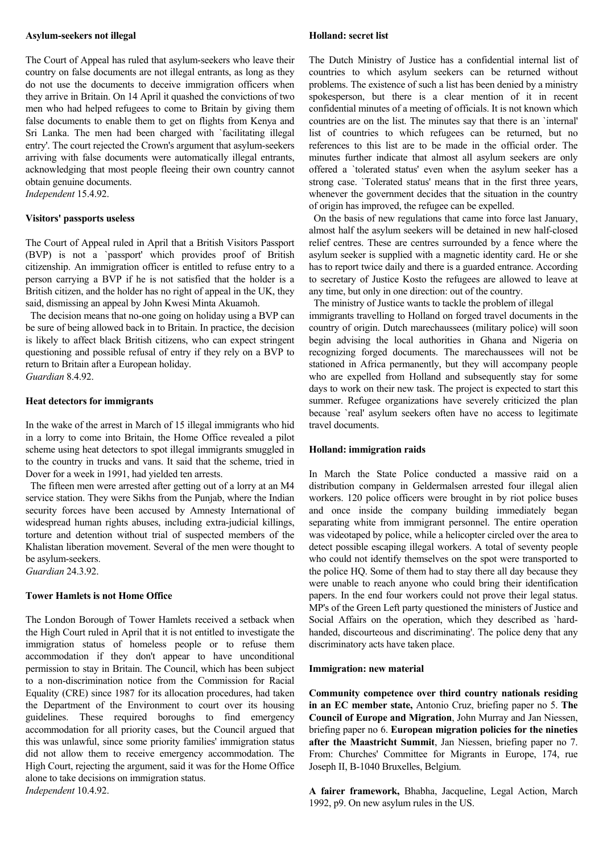#### **Asylum-seekers not illegal**

The Court of Appeal has ruled that asylum-seekers who leave their country on false documents are not illegal entrants, as long as they do not use the documents to deceive immigration officers when they arrive in Britain. On 14 April it quashed the convictions of two men who had helped refugees to come to Britain by giving them false documents to enable them to get on flights from Kenya and Sri Lanka. The men had been charged with `facilitating illegal entry'. The court rejected the Crown's argument that asylum-seekers arriving with false documents were automatically illegal entrants, acknowledging that most people fleeing their own country cannot obtain genuine documents.

*Independent* 15.4.92.

### **Visitors' passports useless**

The Court of Appeal ruled in April that a British Visitors Passport (BVP) is not a `passport' which provides proof of British citizenship. An immigration officer is entitled to refuse entry to a person carrying a BVP if he is not satisfied that the holder is a British citizen, and the holder has no right of appeal in the UK, they said, dismissing an appeal by John Kwesi Minta Akuamoh.

 The decision means that no-one going on holiday using a BVP can be sure of being allowed back in to Britain. In practice, the decision is likely to affect black British citizens, who can expect stringent questioning and possible refusal of entry if they rely on a BVP to return to Britain after a European holiday.

*Guardian* 8.4.92.

### **Heat detectors for immigrants**

In the wake of the arrest in March of 15 illegal immigrants who hid in a lorry to come into Britain, the Home Office revealed a pilot scheme using heat detectors to spot illegal immigrants smuggled in to the country in trucks and vans. It said that the scheme, tried in Dover for a week in 1991, had yielded ten arrests.

 The fifteen men were arrested after getting out of a lorry at an M4 service station. They were Sikhs from the Punjab, where the Indian security forces have been accused by Amnesty International of widespread human rights abuses, including extra-judicial killings, torture and detention without trial of suspected members of the Khalistan liberation movement. Several of the men were thought to be asylum-seekers.

*Guardian* 24.3.92.

# **Tower Hamlets is not Home Office**

The London Borough of Tower Hamlets received a setback when the High Court ruled in April that it is not entitled to investigate the immigration status of homeless people or to refuse them accommodation if they don't appear to have unconditional permission to stay in Britain. The Council, which has been subject to a non-discrimination notice from the Commission for Racial Equality (CRE) since 1987 for its allocation procedures, had taken the Department of the Environment to court over its housing guidelines. These required boroughs to find emergency accommodation for all priority cases, but the Council argued that this was unlawful, since some priority families' immigration status did not allow them to receive emergency accommodation. The High Court, rejecting the argument, said it was for the Home Office alone to take decisions on immigration status.

*Independent* 10.4.92.

#### **Holland: secret list**

The Dutch Ministry of Justice has a confidential internal list of countries to which asylum seekers can be returned without problems. The existence of such a list has been denied by a ministry spokesperson, but there is a clear mention of it in recent confidential minutes of a meeting of officials. It is not known which countries are on the list. The minutes say that there is an `internal' list of countries to which refugees can be returned, but no references to this list are to be made in the official order. The minutes further indicate that almost all asylum seekers are only offered a `tolerated status' even when the asylum seeker has a strong case. `Tolerated status' means that in the first three years, whenever the government decides that the situation in the country of origin has improved, the refugee can be expelled.

 On the basis of new regulations that came into force last January, almost half the asylum seekers will be detained in new half-closed relief centres. These are centres surrounded by a fence where the asylum seeker is supplied with a magnetic identity card. He or she has to report twice daily and there is a guarded entrance. According to secretary of Justice Kosto the refugees are allowed to leave at any time, but only in one direction: out of the country.

 The ministry of Justice wants to tackle the problem of illegal immigrants travelling to Holland on forged travel documents in the country of origin. Dutch marechaussees (military police) will soon begin advising the local authorities in Ghana and Nigeria on recognizing forged documents. The marechaussees will not be stationed in Africa permanently, but they will accompany people who are expelled from Holland and subsequently stay for some days to work on their new task. The project is expected to start this summer. Refugee organizations have severely criticized the plan because `real' asylum seekers often have no access to legitimate travel documents.

# **Holland: immigration raids**

In March the State Police conducted a massive raid on a distribution company in Geldermalsen arrested four illegal alien workers. 120 police officers were brought in by riot police buses and once inside the company building immediately began separating white from immigrant personnel. The entire operation was videotaped by police, while a helicopter circled over the area to detect possible escaping illegal workers. A total of seventy people who could not identify themselves on the spot were transported to the police HQ. Some of them had to stay there all day because they were unable to reach anyone who could bring their identification papers. In the end four workers could not prove their legal status. MP's of the Green Left party questioned the ministers of Justice and Social Affairs on the operation, which they described as `hardhanded, discourteous and discriminating'. The police deny that any discriminatory acts have taken place.

#### **Immigration: new material**

**Community competence over third country nationals residing in an EC member state,** Antonio Cruz, briefing paper no 5. **The Council of Europe and Migration**, John Murray and Jan Niessen, briefing paper no 6. **European migration policies for the nineties after the Maastricht Summit**, Jan Niessen, briefing paper no 7. From: Churches' Committee for Migrants in Europe, 174, rue Joseph II, B-1040 Bruxelles, Belgium.

**A fairer framework,** Bhabha, Jacqueline, Legal Action, March 1992, p9. On new asylum rules in the US.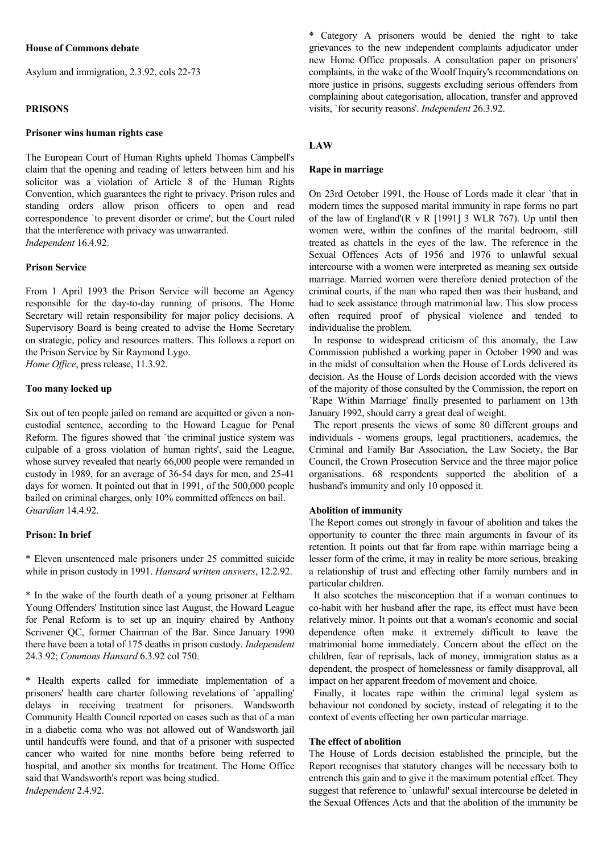# **House of Commons debate**

Asylum and immigration, 2.3.92, cols 22-73

## **PRISONS**

### **Prisoner wins human rights case**

The European Court of Human Rights upheld Thomas Campbell's claim that the opening and reading of letters between him and his solicitor was a violation of Article 8 of the Human Rights Convention, which guarantees the right to privacy. Prison rules and standing orders allow prison officers to open and read correspondence `to prevent disorder or crime', but the Court ruled that the interference with privacy was unwarranted. *Independent* 16.4.92.

### **Prison Service**

From 1 April 1993 the Prison Service will become an Agency responsible for the day-to-day running of prisons. The Home Secretary will retain responsibility for major policy decisions. A Supervisory Board is being created to advise the Home Secretary on strategic, policy and resources matters. This follows a report on the Prison Service by Sir Raymond Lygo.

*Home Office*, press release, 11.3.92.

### **Too many locked up**

Six out of ten people jailed on remand are acquitted or given a noncustodial sentence, according to the Howard League for Penal Reform. The figures showed that `the criminal justice system was culpable of a gross violation of human rights', said the League, whose survey revealed that nearly 66,000 people were remanded in custody in 1989, for an average of 36-54 days for men, and 25-41 days for women. It pointed out that in 1991, of the 500,000 people bailed on criminal charges, only 10% committed offences on bail. *Guardian* 14.4.92.

### **Prison: In brief**

\* Eleven unsentenced male prisoners under 25 committed suicide while in prison custody in 1991. *Hansard written answers*, 12.2.92.

\* In the wake of the fourth death of a young prisoner at Feltham Young Offenders' Institution since last August, the Howard League for Penal Reform is to set up an inquiry chaired by Anthony Scrivener QC, former Chairman of the Bar. Since January 1990 there have been a total of 175 deaths in prison custody. *Independent* 24.3.92; *Commons Hansard* 6.3.92 col 750.

\* Health experts called for immediate implementation of a prisoners' health care charter following revelations of `appalling' delays in receiving treatment for prisoners. Wandsworth Community Health Council reported on cases such as that of a man in a diabetic coma who was not allowed out of Wandsworth jail until handcuffs were found, and that of a prisoner with suspected cancer who waited for nine months before being referred to hospital, and another six months for treatment. The Home Office said that Wandsworth's report was being studied. *Independent* 2.4.92.

\* Category A prisoners would be denied the right to take grievances to the new independent complaints adjudicator under new Home Office proposals. A consultation paper on prisoners' complaints, in the wake of the Woolf Inquiry's recommendations on more justice in prisons, suggests excluding serious offenders from complaining about categorisation, allocation, transfer and approved visits, `for security reasons'. *Independent* 26.3.92.

### **LAW**

### **Rape in marriage**

On 23rd October 1991, the House of Lords made it clear `that in modern times the supposed marital immunity in rape forms no part of the law of England'(R v R [1991] 3 WLR 767). Up until then women were, within the confines of the marital bedroom, still treated as chattels in the eyes of the law. The reference in the Sexual Offences Acts of 1956 and 1976 to unlawful sexual intercourse with a women were interpreted as meaning sex outside marriage. Married women were therefore denied protection of the criminal courts, if the man who raped then was their husband, and had to seek assistance through matrimonial law. This slow process often required proof of physical violence and tended to individualise the problem.

 In response to widespread criticism of this anomaly, the Law Commission published a working paper in October 1990 and was in the midst of consultation when the House of Lords delivered its decision. As the House of Lords decision accorded with the views of the majority of those consulted by the Commission, the report on `Rape Within Marriage' finally presented to parliament on 13th January 1992, should carry a great deal of weight.

 The report presents the views of some 80 different groups and individuals - womens groups, legal practitioners, academics, the Criminal and Family Bar Association, the Law Society, the Bar Council, the Crown Prosecution Service and the three major police organisations. 68 respondents supported the abolition of a husband's immunity and only 10 opposed it.

# **Abolition of immunity**

The Report comes out strongly in favour of abolition and takes the opportunity to counter the three main arguments in favour of its retention. It points out that far from rape within marriage being a lesser form of the crime, it may in reality be more serious, breaking a relationship of trust and effecting other family numbers and in particular children.

 It also scotches the misconception that if a woman continues to co-habit with her husband after the rape, its effect must have been relatively minor. It points out that a woman's economic and social dependence often make it extremely difficult to leave the matrimonial home immediately. Concern about the effect on the children, fear of reprisals, lack of money, immigration status as a dependent, the prospect of homelessness or family disapproval, all impact on her apparent freedom of movement and choice.

 Finally, it locates rape within the criminal legal system as behaviour not condoned by society, instead of relegating it to the context of events effecting her own particular marriage.

### **The effect of abolition**

The House of Lords decision established the principle, but the Report recognises that statutory changes will be necessary both to entrench this gain and to give it the maximum potential effect. They suggest that reference to `unlawful' sexual intercourse be deleted in the Sexual Offences Acts and that the abolition of the immunity be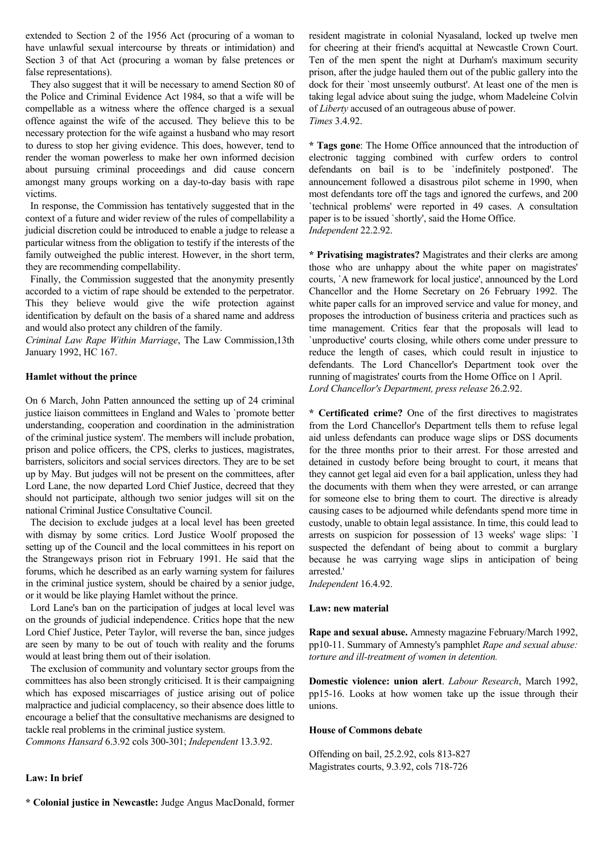extended to Section 2 of the 1956 Act (procuring of a woman to have unlawful sexual intercourse by threats or intimidation) and Section 3 of that Act (procuring a woman by false pretences or false representations).

 They also suggest that it will be necessary to amend Section 80 of the Police and Criminal Evidence Act 1984, so that a wife will be compellable as a witness where the offence charged is a sexual offence against the wife of the accused. They believe this to be necessary protection for the wife against a husband who may resort to duress to stop her giving evidence. This does, however, tend to render the woman powerless to make her own informed decision about pursuing criminal proceedings and did cause concern amongst many groups working on a day-to-day basis with rape victims.

 In response, the Commission has tentatively suggested that in the context of a future and wider review of the rules of compellability a judicial discretion could be introduced to enable a judge to release a particular witness from the obligation to testify if the interests of the family outweighed the public interest. However, in the short term, they are recommending compellability.

 Finally, the Commission suggested that the anonymity presently accorded to a victim of rape should be extended to the perpetrator. This they believe would give the wife protection against identification by default on the basis of a shared name and address and would also protect any children of the family.

*Criminal Law Rape Within Marriage*, The Law Commission,13th January 1992, HC 167.

# **Hamlet without the prince**

On 6 March, John Patten announced the setting up of 24 criminal justice liaison committees in England and Wales to `promote better understanding, cooperation and coordination in the administration of the criminal justice system'. The members will include probation, prison and police officers, the CPS, clerks to justices, magistrates, barristers, solicitors and social services directors. They are to be set up by May. But judges will not be present on the committees, after Lord Lane, the now departed Lord Chief Justice, decreed that they should not participate, although two senior judges will sit on the national Criminal Justice Consultative Council.

 The decision to exclude judges at a local level has been greeted with dismay by some critics. Lord Justice Woolf proposed the setting up of the Council and the local committees in his report on the Strangeways prison riot in February 1991. He said that the forums, which he described as an early warning system for failures in the criminal justice system, should be chaired by a senior judge, or it would be like playing Hamlet without the prince.

 Lord Lane's ban on the participation of judges at local level was on the grounds of judicial independence. Critics hope that the new Lord Chief Justice, Peter Taylor, will reverse the ban, since judges are seen by many to be out of touch with reality and the forums would at least bring them out of their isolation.

 The exclusion of community and voluntary sector groups from the committees has also been strongly criticised. It is their campaigning which has exposed miscarriages of justice arising out of police malpractice and judicial complacency, so their absence does little to encourage a belief that the consultative mechanisms are designed to tackle real problems in the criminal justice system.

*Commons Hansard* 6.3.92 cols 300-301; *Independent* 13.3.92.

### **Law: In brief**

**\* Colonial justice in Newcastle:** Judge Angus MacDonald, former

resident magistrate in colonial Nyasaland, locked up twelve men for cheering at their friend's acquittal at Newcastle Crown Court. Ten of the men spent the night at Durham's maximum security prison, after the judge hauled them out of the public gallery into the dock for their `most unseemly outburst'. At least one of the men is taking legal advice about suing the judge, whom Madeleine Colvin of *Liberty* accused of an outrageous abuse of power. *Times* 3.4.92.

**\* Tags gone**: The Home Office announced that the introduction of electronic tagging combined with curfew orders to control defendants on bail is to be `indefinitely postponed'. The announcement followed a disastrous pilot scheme in 1990, when most defendants tore off the tags and ignored the curfews, and 200 `technical problems' were reported in 49 cases. A consultation paper is to be issued `shortly', said the Home Office. *Independent* 22.2.92.

**\* Privatising magistrates?** Magistrates and their clerks are among those who are unhappy about the white paper on magistrates' courts, `A new framework for local justice', announced by the Lord Chancellor and the Home Secretary on 26 February 1992. The white paper calls for an improved service and value for money, and proposes the introduction of business criteria and practices such as time management. Critics fear that the proposals will lead to `unproductive' courts closing, while others come under pressure to reduce the length of cases, which could result in injustice to defendants. The Lord Chancellor's Department took over the running of magistrates' courts from the Home Office on 1 April. *Lord Chancellor's Department, press release* 26.2.92.

**\* Certificated crime?** One of the first directives to magistrates from the Lord Chancellor's Department tells them to refuse legal aid unless defendants can produce wage slips or DSS documents for the three months prior to their arrest. For those arrested and detained in custody before being brought to court, it means that they cannot get legal aid even for a bail application, unless they had the documents with them when they were arrested, or can arrange for someone else to bring them to court. The directive is already causing cases to be adjourned while defendants spend more time in custody, unable to obtain legal assistance. In time, this could lead to arrests on suspicion for possession of 13 weeks' wage slips: `I suspected the defendant of being about to commit a burglary because he was carrying wage slips in anticipation of being arrested.'

*Independent* 16.4.92.

### **Law: new material**

**Rape and sexual abuse.** Amnesty magazine February/March 1992, pp10-11. Summary of Amnesty's pamphlet *Rape and sexual abuse: torture and ill-treatment of women in detention.*

**Domestic violence: union alert**. *Labour Research*, March 1992, pp15-16. Looks at how women take up the issue through their unions.

#### **House of Commons debate**

Offending on bail, 25.2.92, cols 813-827 Magistrates courts, 9.3.92, cols 718-726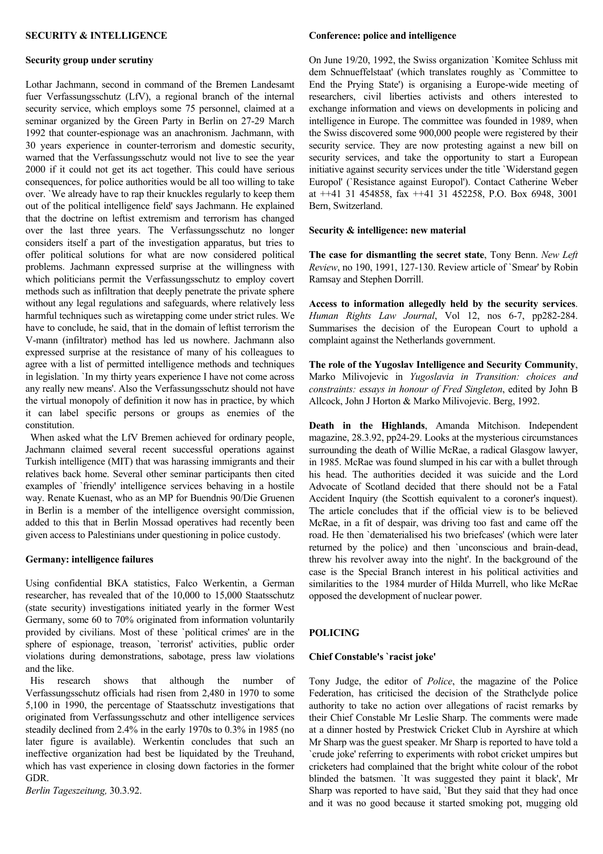# **SECURITY & INTELLIGENCE**

# **Security group under scrutiny**

Lothar Jachmann, second in command of the Bremen Landesamt fuer Verfassungsschutz (LfV), a regional branch of the internal security service, which employs some 75 personnel, claimed at a seminar organized by the Green Party in Berlin on 27-29 March 1992 that counter-espionage was an anachronism. Jachmann, with 30 years experience in counter-terrorism and domestic security, warned that the Verfassungsschutz would not live to see the year 2000 if it could not get its act together. This could have serious consequences, for police authorities would be all too willing to take over. `We already have to rap their knuckles regularly to keep them out of the political intelligence field' says Jachmann. He explained that the doctrine on leftist extremism and terrorism has changed over the last three years. The Verfassungsschutz no longer considers itself a part of the investigation apparatus, but tries to offer political solutions for what are now considered political problems. Jachmann expressed surprise at the willingness with which politicians permit the Verfassungsschutz to employ covert methods such as infiltration that deeply penetrate the private sphere without any legal regulations and safeguards, where relatively less harmful techniques such as wiretapping come under strict rules. We have to conclude, he said, that in the domain of leftist terrorism the V-mann (infiltrator) method has led us nowhere. Jachmann also expressed surprise at the resistance of many of his colleagues to agree with a list of permitted intelligence methods and techniques in legislation. `In my thirty years experience I have not come across any really new means'. Also the Verfassungsschutz should not have the virtual monopoly of definition it now has in practice, by which it can label specific persons or groups as enemies of the constitution.

 When asked what the LfV Bremen achieved for ordinary people, Jachmann claimed several recent successful operations against Turkish intelligence (MIT) that was harassing immigrants and their relatives back home. Several other seminar participants then cited examples of `friendly' intelligence services behaving in a hostile way. Renate Kuenast, who as an MP for Buendnis 90/Die Gruenen in Berlin is a member of the intelligence oversight commission, added to this that in Berlin Mossad operatives had recently been given access to Palestinians under questioning in police custody.

# **Germany: intelligence failures**

Using confidential BKA statistics, Falco Werkentin, a German researcher, has revealed that of the 10,000 to 15,000 Staatsschutz (state security) investigations initiated yearly in the former West Germany, some 60 to 70% originated from information voluntarily provided by civilians. Most of these `political crimes' are in the sphere of espionage, treason, `terrorist' activities, public order violations during demonstrations, sabotage, press law violations and the like.

 His research shows that although the number of Verfassungsschutz officials had risen from 2,480 in 1970 to some 5,100 in 1990, the percentage of Staatsschutz investigations that originated from Verfassungsschutz and other intelligence services steadily declined from 2.4% in the early 1970s to 0.3% in 1985 (no later figure is available). Werkentin concludes that such an ineffective organization had best be liquidated by the Treuhand, which has vast experience in closing down factories in the former GDR.

*Berlin Tageszeitung,* 30.3.92.

#### **Conference: police and intelligence**

On June 19/20, 1992, the Swiss organization `Komitee Schluss mit dem Schnueffelstaat' (which translates roughly as `Committee to End the Prying State') is organising a Europe-wide meeting of researchers, civil liberties activists and others interested to exchange information and views on developments in policing and intelligence in Europe. The committee was founded in 1989, when the Swiss discovered some 900,000 people were registered by their security service. They are now protesting against a new bill on security services, and take the opportunity to start a European initiative against security services under the title `Widerstand gegen Europol' (`Resistance against Europol'). Contact Catherine Weber at ++41 31 454858, fax ++41 31 452258, P.O. Box 6948, 3001 Bern, Switzerland.

# **Security & intelligence: new material**

**The case for dismantling the secret state**, Tony Benn. *New Left Review*, no 190, 1991, 127-130. Review article of `Smear' by Robin Ramsay and Stephen Dorrill.

**Access to information allegedly held by the security services**. *Human Rights Law Journal*, Vol 12, nos 6-7, pp282-284. Summarises the decision of the European Court to uphold a complaint against the Netherlands government.

**The role of the Yugoslav Intelligence and Security Community**, Marko Milivojevic in *Yugoslavia in Transition: choices and constraints: essays in honour of Fred Singleton*, edited by John B Allcock, John J Horton & Marko Milivojevic. Berg, 1992.

**Death in the Highlands**, Amanda Mitchison. Independent magazine, 28.3.92, pp24-29. Looks at the mysterious circumstances surrounding the death of Willie McRae, a radical Glasgow lawyer, in 1985. McRae was found slumped in his car with a bullet through his head. The authorities decided it was suicide and the Lord Advocate of Scotland decided that there should not be a Fatal Accident Inquiry (the Scottish equivalent to a coroner's inquest). The article concludes that if the official view is to be believed McRae, in a fit of despair, was driving too fast and came off the road. He then `dematerialised his two briefcases' (which were later returned by the police) and then `unconscious and brain-dead, threw his revolver away into the night'. In the background of the case is the Special Branch interest in his political activities and similarities to the 1984 murder of Hilda Murrell, who like McRae opposed the development of nuclear power.

### **POLICING**

### **Chief Constable's `racist joke'**

Tony Judge, the editor of *Police*, the magazine of the Police Federation, has criticised the decision of the Strathclyde police authority to take no action over allegations of racist remarks by their Chief Constable Mr Leslie Sharp. The comments were made at a dinner hosted by Prestwick Cricket Club in Ayrshire at which Mr Sharp was the guest speaker. Mr Sharp is reported to have told a `crude joke' referring to experiments with robot cricket umpires but cricketers had complained that the bright white colour of the robot blinded the batsmen. `It was suggested they paint it black', Mr Sharp was reported to have said, `But they said that they had once and it was no good because it started smoking pot, mugging old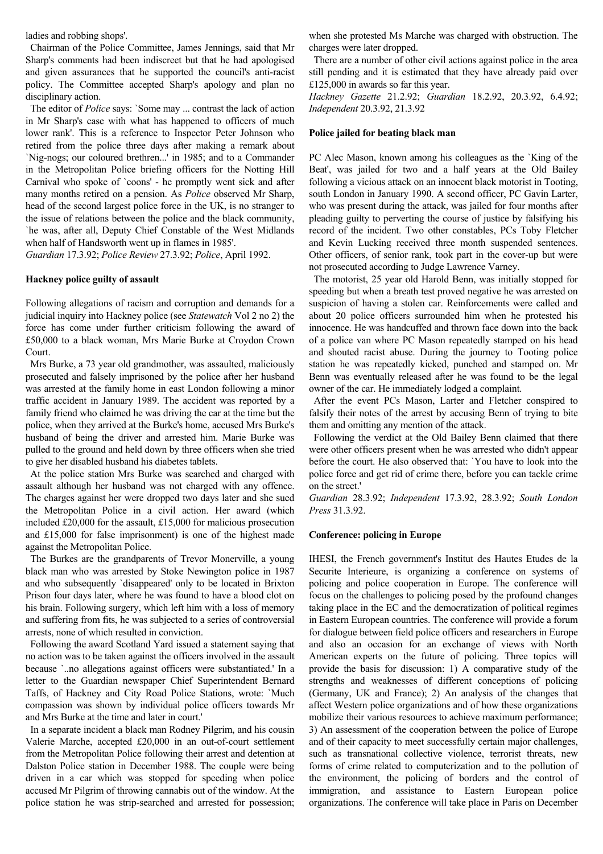ladies and robbing shops'.

 Chairman of the Police Committee, James Jennings, said that Mr Sharp's comments had been indiscreet but that he had apologised and given assurances that he supported the council's anti-racist policy. The Committee accepted Sharp's apology and plan no disciplinary action.

 The editor of *Police* says: `Some may ... contrast the lack of action in Mr Sharp's case with what has happened to officers of much lower rank'. This is a reference to Inspector Peter Johnson who retired from the police three days after making a remark about `Nig-nogs; our coloured brethren...' in 1985; and to a Commander in the Metropolitan Police briefing officers for the Notting Hill Carnival who spoke of `coons' - he promptly went sick and after many months retired on a pension. As *Police* observed Mr Sharp, head of the second largest police force in the UK, is no stranger to the issue of relations between the police and the black community, `he was, after all, Deputy Chief Constable of the West Midlands when half of Handsworth went up in flames in 1985'.

*Guardian* 17.3.92; *Police Review* 27.3.92; *Police*, April 1992.

### **Hackney police guilty of assault**

Following allegations of racism and corruption and demands for a judicial inquiry into Hackney police (see *Statewatch* Vol 2 no 2) the force has come under further criticism following the award of £50,000 to a black woman, Mrs Marie Burke at Croydon Crown Court.

 Mrs Burke, a 73 year old grandmother, was assaulted, maliciously prosecuted and falsely imprisoned by the police after her husband was arrested at the family home in east London following a minor traffic accident in January 1989. The accident was reported by a family friend who claimed he was driving the car at the time but the police, when they arrived at the Burke's home, accused Mrs Burke's husband of being the driver and arrested him. Marie Burke was pulled to the ground and held down by three officers when she tried to give her disabled husband his diabetes tablets.

 At the police station Mrs Burke was searched and charged with assault although her husband was not charged with any offence. The charges against her were dropped two days later and she sued the Metropolitan Police in a civil action. Her award (which included £20,000 for the assault, £15,000 for malicious prosecution and £15,000 for false imprisonment) is one of the highest made against the Metropolitan Police.

 The Burkes are the grandparents of Trevor Monerville, a young black man who was arrested by Stoke Newington police in 1987 and who subsequently `disappeared' only to be located in Brixton Prison four days later, where he was found to have a blood clot on his brain. Following surgery, which left him with a loss of memory and suffering from fits, he was subjected to a series of controversial arrests, none of which resulted in conviction.

 Following the award Scotland Yard issued a statement saying that no action was to be taken against the officers involved in the assault because `..no allegations against officers were substantiated.' In a letter to the Guardian newspaper Chief Superintendent Bernard Taffs, of Hackney and City Road Police Stations, wrote: `Much compassion was shown by individual police officers towards Mr and Mrs Burke at the time and later in court.'

 In a separate incident a black man Rodney Pilgrim, and his cousin Valerie Marche, accepted £20,000 in an out-of-court settlement from the Metropolitan Police following their arrest and detention at Dalston Police station in December 1988. The couple were being driven in a car which was stopped for speeding when police accused Mr Pilgrim of throwing cannabis out of the window. At the police station he was strip-searched and arrested for possession;

when she protested Ms Marche was charged with obstruction. The charges were later dropped.

 There are a number of other civil actions against police in the area still pending and it is estimated that they have already paid over £125,000 in awards so far this year.

*Hackney Gazette* 21.2.92; *Guardian* 18.2.92, 20.3.92, 6.4.92; *Independent* 20.3.92, 21.3.92

### **Police jailed for beating black man**

PC Alec Mason, known among his colleagues as the `King of the Beat', was jailed for two and a half years at the Old Bailey following a vicious attack on an innocent black motorist in Tooting, south London in January 1990. A second officer, PC Gavin Larter, who was present during the attack, was jailed for four months after pleading guilty to perverting the course of justice by falsifying his record of the incident. Two other constables, PCs Toby Fletcher and Kevin Lucking received three month suspended sentences. Other officers, of senior rank, took part in the cover-up but were not prosecuted according to Judge Lawrence Varney.

 The motorist, 25 year old Harold Benn, was initially stopped for speeding but when a breath test proved negative he was arrested on suspicion of having a stolen car. Reinforcements were called and about 20 police officers surrounded him when he protested his innocence. He was handcuffed and thrown face down into the back of a police van where PC Mason repeatedly stamped on his head and shouted racist abuse. During the journey to Tooting police station he was repeatedly kicked, punched and stamped on. Mr Benn was eventually released after he was found to be the legal owner of the car. He immediately lodged a complaint.

 After the event PCs Mason, Larter and Fletcher conspired to falsify their notes of the arrest by accusing Benn of trying to bite them and omitting any mention of the attack.

 Following the verdict at the Old Bailey Benn claimed that there were other officers present when he was arrested who didn't appear before the court. He also observed that: `You have to look into the police force and get rid of crime there, before you can tackle crime on the street.'

*Guardian* 28.3.92; *Independent* 17.3.92, 28.3.92; *South London Press* 31.3.92.

### **Conference: policing in Europe**

IHESI, the French government's Institut des Hautes Etudes de la Securite Interieure, is organizing a conference on systems of policing and police cooperation in Europe. The conference will focus on the challenges to policing posed by the profound changes taking place in the EC and the democratization of political regimes in Eastern European countries. The conference will provide a forum for dialogue between field police officers and researchers in Europe and also an occasion for an exchange of views with North American experts on the future of policing. Three topics will provide the basis for discussion: 1) A comparative study of the strengths and weaknesses of different conceptions of policing (Germany, UK and France); 2) An analysis of the changes that affect Western police organizations and of how these organizations mobilize their various resources to achieve maximum performance; 3) An assessment of the cooperation between the police of Europe and of their capacity to meet successfully certain major challenges, such as transnational collective violence, terrorist threats, new forms of crime related to computerization and to the pollution of the environment, the policing of borders and the control of immigration, and assistance to Eastern European police organizations. The conference will take place in Paris on December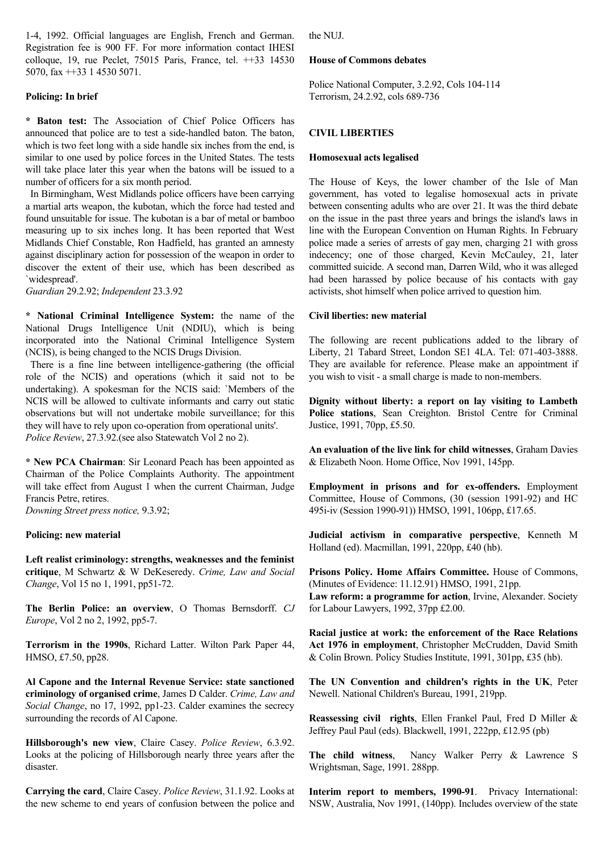1-4, 1992. Official languages are English, French and German. Registration fee is 900 FF. For more information contact IHESI colloque, 19, rue Peclet, 75015 Paris, France, tel. ++33 14530 5070, fax ++33 1 4530 5071.

# **Policing: In brief**

**\* Baton test:** The Association of Chief Police Officers has announced that police are to test a side-handled baton. The baton, which is two feet long with a side handle six inches from the end, is similar to one used by police forces in the United States. The tests will take place later this year when the batons will be issued to a number of officers for a six month period.

 In Birmingham, West Midlands police officers have been carrying a martial arts weapon, the kubotan, which the force had tested and found unsuitable for issue. The kubotan is a bar of metal or bamboo measuring up to six inches long. It has been reported that West Midlands Chief Constable, Ron Hadfield, has granted an amnesty against disciplinary action for possession of the weapon in order to discover the extent of their use, which has been described as `widespread'.

*Guardian* 29.2.92; *Independent* 23.3.92

**\* National Criminal Intelligence System:** the name of the National Drugs Intelligence Unit (NDIU), which is being incorporated into the National Criminal Intelligence System (NCIS), is being changed to the NCIS Drugs Division.

 There is a fine line between intelligence-gathering (the official role of the NCIS) and operations (which it said not to be undertaking). A spokesman for the NCIS said: `Members of the NCIS will be allowed to cultivate informants and carry out static observations but will not undertake mobile surveillance; for this they will have to rely upon co-operation from operational units'. *Police Review*, 27.3.92.(see also Statewatch Vol 2 no 2).

**\* New PCA Chairman**: Sir Leonard Peach has been appointed as Chairman of the Police Complaints Authority. The appointment will take effect from August 1 when the current Chairman, Judge Francis Petre, retires.

*Downing Street press notice,* 9.3.92;

### **Policing: new material**

**Left realist criminology: strengths, weaknesses and the feminist critique**, M Schwartz & W DeKeseredy. *Crime, Law and Social Change*, Vol 15 no 1, 1991, pp51-72.

**The Berlin Police: an overview**, O Thomas Bernsdorff. *CJ Europe*, Vol 2 no 2, 1992, pp5-7.

**Terrorism in the 1990s**, Richard Latter. Wilton Park Paper 44, HMSO, £7.50, pp28.

**Al Capone and the Internal Revenue Service: state sanctioned criminology of organised crime**, James D Calder. *Crime, Law and Social Change*, no 17, 1992, pp1-23. Calder examines the secrecy surrounding the records of Al Capone.

**Hillsborough's new view**, Claire Casey. *Police Review*, 6.3.92. Looks at the policing of Hillsborough nearly three years after the disaster.

**Carrying the card**, Claire Casey. *Police Review*, 31.1.92. Looks at the new scheme to end years of confusion between the police and

the NUJ.

### **House of Commons debates**

Police National Computer, 3.2.92, Cols 104-114 Terrorism, 24.2.92, cols 689-736

# **CIVIL LIBERTIES**

### **Homosexual acts legalised**

The House of Keys, the lower chamber of the Isle of Man government, has voted to legalise homosexual acts in private between consenting adults who are over 21. It was the third debate on the issue in the past three years and brings the island's laws in line with the European Convention on Human Rights. In February police made a series of arrests of gay men, charging 21 with gross indecency; one of those charged, Kevin McCauley, 21, later committed suicide. A second man, Darren Wild, who it was alleged had been harassed by police because of his contacts with gay activists, shot himself when police arrived to question him.

### **Civil liberties: new material**

The following are recent publications added to the library of Liberty, 21 Tabard Street, London SE1 4LA. Tel: 071-403-3888. They are available for reference. Please make an appointment if you wish to visit - a small charge is made to non-members.

**Dignity without liberty: a report on lay visiting to Lambeth Police stations**, Sean Creighton. Bristol Centre for Criminal Justice, 1991, 70pp, £5.50.

**An evaluation of the live link for child witnesses**, Graham Davies & Elizabeth Noon. Home Office, Nov 1991, 145pp.

**Employment in prisons and for ex-offenders.** Employment Committee, House of Commons, (30 (session 1991-92) and HC 495i-iv (Session 1990-91)) HMSO, 1991, 106pp, £17.65.

**Judicial activism in comparative perspective**, Kenneth M Holland (ed). Macmillan, 1991, 220pp, £40 (hb).

**Prisons Policy. Home Affairs Committee.** House of Commons, (Minutes of Evidence: 11.12.91) HMSO, 1991, 21pp.

**Law reform: a programme for action**, Irvine, Alexander. Society for Labour Lawyers, 1992, 37pp £2.00.

**Racial justice at work: the enforcement of the Race Relations Act 1976 in employment**, Christopher McCrudden, David Smith & Colin Brown. Policy Studies Institute, 1991, 301pp, £35 (hb).

**The UN Convention and children's rights in the UK**, Peter Newell. National Children's Bureau, 1991, 219pp.

**Reassessing civil rights**, Ellen Frankel Paul, Fred D Miller & Jeffrey Paul Paul (eds). Blackwell, 1991, 222pp, £12.95 (pb)

**The child witness**, Nancy Walker Perry & Lawrence S Wrightsman, Sage, 1991. 288pp.

**Interim report to members, 1990-91**. Privacy International: NSW, Australia, Nov 1991, (140pp). Includes overview of the state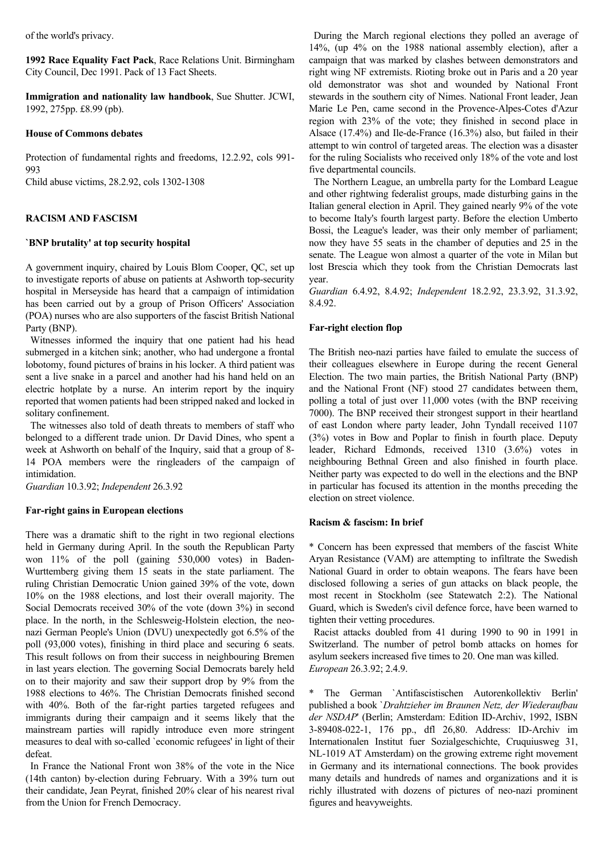of the world's privacy.

**1992 Race Equality Fact Pack**, Race Relations Unit. Birmingham City Council, Dec 1991. Pack of 13 Fact Sheets.

**Immigration and nationality law handbook**, Sue Shutter. JCWI, 1992, 275pp. £8.99 (pb).

### **House of Commons debates**

Protection of fundamental rights and freedoms, 12.2.92, cols 991- 993

Child abuse victims, 28.2.92, cols 1302-1308

#### **RACISM AND FASCISM**

#### **`BNP brutality' at top security hospital**

A government inquiry, chaired by Louis Blom Cooper, QC, set up to investigate reports of abuse on patients at Ashworth top-security hospital in Merseyside has heard that a campaign of intimidation has been carried out by a group of Prison Officers' Association (POA) nurses who are also supporters of the fascist British National Party (BNP).

 Witnesses informed the inquiry that one patient had his head submerged in a kitchen sink; another, who had undergone a frontal lobotomy, found pictures of brains in his locker. A third patient was sent a live snake in a parcel and another had his hand held on an electric hotplate by a nurse. An interim report by the inquiry reported that women patients had been stripped naked and locked in solitary confinement.

 The witnesses also told of death threats to members of staff who belonged to a different trade union. Dr David Dines, who spent a week at Ashworth on behalf of the Inquiry, said that a group of 8- 14 POA members were the ringleaders of the campaign of intimidation.

*Guardian* 10.3.92; *Independent* 26.3.92

### **Far-right gains in European elections**

There was a dramatic shift to the right in two regional elections held in Germany during April. In the south the Republican Party won 11% of the poll (gaining 530,000 votes) in Baden-Wurttemberg giving them 15 seats in the state parliament. The ruling Christian Democratic Union gained 39% of the vote, down 10% on the 1988 elections, and lost their overall majority. The Social Democrats received 30% of the vote (down 3%) in second place. In the north, in the Schlesweig-Holstein election, the neonazi German People's Union (DVU) unexpectedly got 6.5% of the poll (93,000 votes), finishing in third place and securing 6 seats. This result follows on from their success in neighbouring Bremen in last years election. The governing Social Democrats barely held on to their majority and saw their support drop by 9% from the 1988 elections to 46%. The Christian Democrats finished second with 40%. Both of the far-right parties targeted refugees and immigrants during their campaign and it seems likely that the mainstream parties will rapidly introduce even more stringent measures to deal with so-called `economic refugees' in light of their defeat.

 In France the National Front won 38% of the vote in the Nice (14th canton) by-election during February. With a 39% turn out their candidate, Jean Peyrat, finished 20% clear of his nearest rival from the Union for French Democracy.

 During the March regional elections they polled an average of 14%, (up 4% on the 1988 national assembly election), after a campaign that was marked by clashes between demonstrators and right wing NF extremists. Rioting broke out in Paris and a 20 year old demonstrator was shot and wounded by National Front stewards in the southern city of Nimes. National Front leader, Jean Marie Le Pen, came second in the Provence-Alpes-Cotes d'Azur region with 23% of the vote; they finished in second place in Alsace (17.4%) and Ile-de-France (16.3%) also, but failed in their attempt to win control of targeted areas. The election was a disaster for the ruling Socialists who received only 18% of the vote and lost five departmental councils.

 The Northern League, an umbrella party for the Lombard League and other rightwing federalist groups, made disturbing gains in the Italian general election in April. They gained nearly 9% of the vote to become Italy's fourth largest party. Before the election Umberto Bossi, the League's leader, was their only member of parliament; now they have 55 seats in the chamber of deputies and 25 in the senate. The League won almost a quarter of the vote in Milan but lost Brescia which they took from the Christian Democrats last year.

*Guardian* 6.4.92, 8.4.92; *Independent* 18.2.92, 23.3.92, 31.3.92, 8.4.92.

# **Far-right election flop**

The British neo-nazi parties have failed to emulate the success of their colleagues elsewhere in Europe during the recent General Election. The two main parties, the British National Party (BNP) and the National Front (NF) stood 27 candidates between them, polling a total of just over 11,000 votes (with the BNP receiving 7000). The BNP received their strongest support in their heartland of east London where party leader, John Tyndall received 1107 (3%) votes in Bow and Poplar to finish in fourth place. Deputy leader, Richard Edmonds, received 1310 (3.6%) votes in neighbouring Bethnal Green and also finished in fourth place. Neither party was expected to do well in the elections and the BNP in particular has focused its attention in the months preceding the election on street violence.

#### **Racism & fascism: In brief**

\* Concern has been expressed that members of the fascist White Aryan Resistance (VAM) are attempting to infiltrate the Swedish National Guard in order to obtain weapons. The fears have been disclosed following a series of gun attacks on black people, the most recent in Stockholm (see Statewatch 2:2). The National Guard, which is Sweden's civil defence force, have been warned to tighten their vetting procedures.

 Racist attacks doubled from 41 during 1990 to 90 in 1991 in Switzerland. The number of petrol bomb attacks on homes for asylum seekers increased five times to 20. One man was killed. *European* 26.3.92; 2.4.9.

\* The German `Antifascistischen Autorenkollektiv Berlin' published a book `*Drahtzieher im Braunen Netz, der Wiederaufbau der NSDAP*' (Berlin; Amsterdam: Edition ID-Archiv, 1992, ISBN 3-89408-022-1, 176 pp., dfl 26,80. Address: ID-Archiv im Internationalen Institut fuer Sozialgeschichte, Cruquiusweg 31, NL-1019 AT Amsterdam) on the growing extreme right movement in Germany and its international connections. The book provides many details and hundreds of names and organizations and it is richly illustrated with dozens of pictures of neo-nazi prominent figures and heavyweights.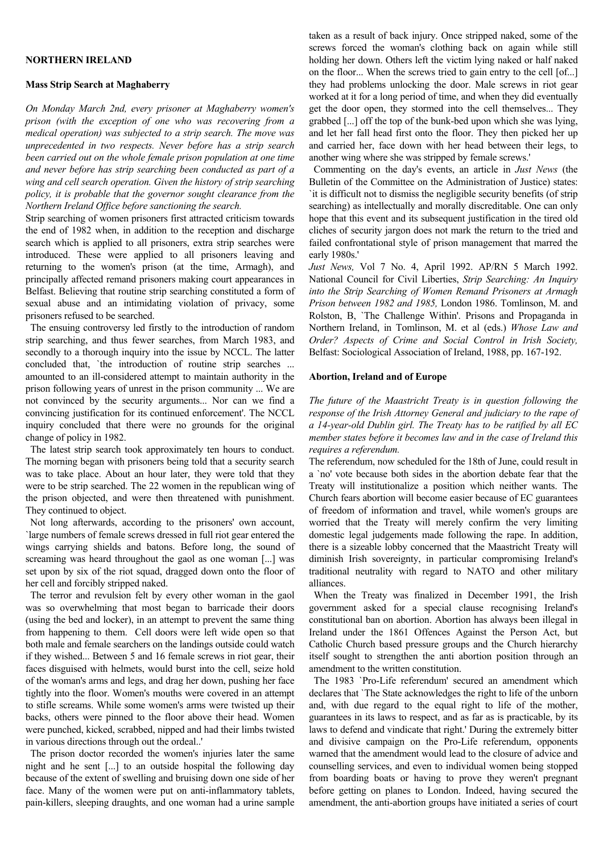### **NORTHERN IRELAND**

#### **Mass Strip Search at Maghaberry**

*On Monday March 2nd, every prisoner at Maghaberry women's prison (with the exception of one who was recovering from a medical operation) was subjected to a strip search. The move was unprecedented in two respects. Never before has a strip search been carried out on the whole female prison population at one time and never before has strip searching been conducted as part of a wing and cell search operation. Given the history of strip searching policy, it is probable that the governor sought clearance from the Northern Ireland Office before sanctioning the search.* 

Strip searching of women prisoners first attracted criticism towards the end of 1982 when, in addition to the reception and discharge search which is applied to all prisoners, extra strip searches were introduced. These were applied to all prisoners leaving and returning to the women's prison (at the time, Armagh), and principally affected remand prisoners making court appearances in Belfast. Believing that routine strip searching constituted a form of sexual abuse and an intimidating violation of privacy, some prisoners refused to be searched.

 The ensuing controversy led firstly to the introduction of random strip searching, and thus fewer searches, from March 1983, and secondly to a thorough inquiry into the issue by NCCL. The latter concluded that, `the introduction of routine strip searches ... amounted to an ill-considered attempt to maintain authority in the prison following years of unrest in the prison community ... We are not convinced by the security arguments... Nor can we find a convincing justification for its continued enforcement'. The NCCL inquiry concluded that there were no grounds for the original change of policy in 1982.

 The latest strip search took approximately ten hours to conduct. The morning began with prisoners being told that a security search was to take place. About an hour later, they were told that they were to be strip searched. The 22 women in the republican wing of the prison objected, and were then threatened with punishment. They continued to object.

 Not long afterwards, according to the prisoners' own account, `large numbers of female screws dressed in full riot gear entered the wings carrying shields and batons. Before long, the sound of screaming was heard throughout the gaol as one woman [...] was set upon by six of the riot squad, dragged down onto the floor of her cell and forcibly stripped naked.

 The terror and revulsion felt by every other woman in the gaol was so overwhelming that most began to barricade their doors (using the bed and locker), in an attempt to prevent the same thing from happening to them. Cell doors were left wide open so that both male and female searchers on the landings outside could watch if they wished... Between 5 and 16 female screws in riot gear, their faces disguised with helmets, would burst into the cell, seize hold of the woman's arms and legs, and drag her down, pushing her face tightly into the floor. Women's mouths were covered in an attempt to stifle screams. While some women's arms were twisted up their backs, others were pinned to the floor above their head. Women were punched, kicked, scrabbed, nipped and had their limbs twisted in various directions through out the ordeal..'

 The prison doctor recorded the women's injuries later the same night and he sent [...] to an outside hospital the following day because of the extent of swelling and bruising down one side of her face. Many of the women were put on anti-inflammatory tablets, pain-killers, sleeping draughts, and one woman had a urine sample taken as a result of back injury. Once stripped naked, some of the screws forced the woman's clothing back on again while still holding her down. Others left the victim lying naked or half naked on the floor... When the screws tried to gain entry to the cell [of...] they had problems unlocking the door. Male screws in riot gear worked at it for a long period of time, and when they did eventually get the door open, they stormed into the cell themselves... They grabbed [...] off the top of the bunk-bed upon which she was lying, and let her fall head first onto the floor. They then picked her up and carried her, face down with her head between their legs, to another wing where she was stripped by female screws.'

 Commenting on the day's events, an article in *Just News* (the Bulletin of the Committee on the Administration of Justice) states: `it is difficult not to dismiss the negligible security benefits (of strip searching) as intellectually and morally discreditable. One can only hope that this event and its subsequent justification in the tired old cliches of security jargon does not mark the return to the tried and failed confrontational style of prison management that marred the early 1980s.'

*Just News,* Vol 7 No. 4, April 1992. AP/RN 5 March 1992. National Council for Civil Liberties, *Strip Searching: An Inquiry into the Strip Searching of Women Remand Prisoners at Armagh Prison between 1982 and 1985,* London 1986. Tomlinson, M. and Rolston, B, `The Challenge Within'. Prisons and Propaganda in Northern Ireland, in Tomlinson, M. et al (eds.) *Whose Law and Order? Aspects of Crime and Social Control in Irish Society,*  Belfast: Sociological Association of Ireland, 1988, pp. 167-192.

#### **Abortion, Ireland and of Europe**

*The future of the Maastricht Treaty is in question following the response of the Irish Attorney General and judiciary to the rape of a 14-year-old Dublin girl. The Treaty has to be ratified by all EC member states before it becomes law and in the case of Ireland this requires a referendum.*

The referendum, now scheduled for the 18th of June, could result in a `no' vote because both sides in the abortion debate fear that the Treaty will institutionalize a position which neither wants. The Church fears abortion will become easier because of EC guarantees of freedom of information and travel, while women's groups are worried that the Treaty will merely confirm the very limiting domestic legal judgements made following the rape. In addition, there is a sizeable lobby concerned that the Maastricht Treaty will diminish Irish sovereignty, in particular compromising Ireland's traditional neutrality with regard to NATO and other military alliances.

 When the Treaty was finalized in December 1991, the Irish government asked for a special clause recognising Ireland's constitutional ban on abortion. Abortion has always been illegal in Ireland under the 1861 Offences Against the Person Act, but Catholic Church based pressure groups and the Church hierarchy itself sought to strengthen the anti abortion position through an amendment to the written constitution.

 The 1983 `Pro-Life referendum' secured an amendment which declares that `The State acknowledges the right to life of the unborn and, with due regard to the equal right to life of the mother, guarantees in its laws to respect, and as far as is practicable, by its laws to defend and vindicate that right.' During the extremely bitter and divisive campaign on the Pro-Life referendum, opponents warned that the amendment would lead to the closure of advice and counselling services, and even to individual women being stopped from boarding boats or having to prove they weren't pregnant before getting on planes to London. Indeed, having secured the amendment, the anti-abortion groups have initiated a series of court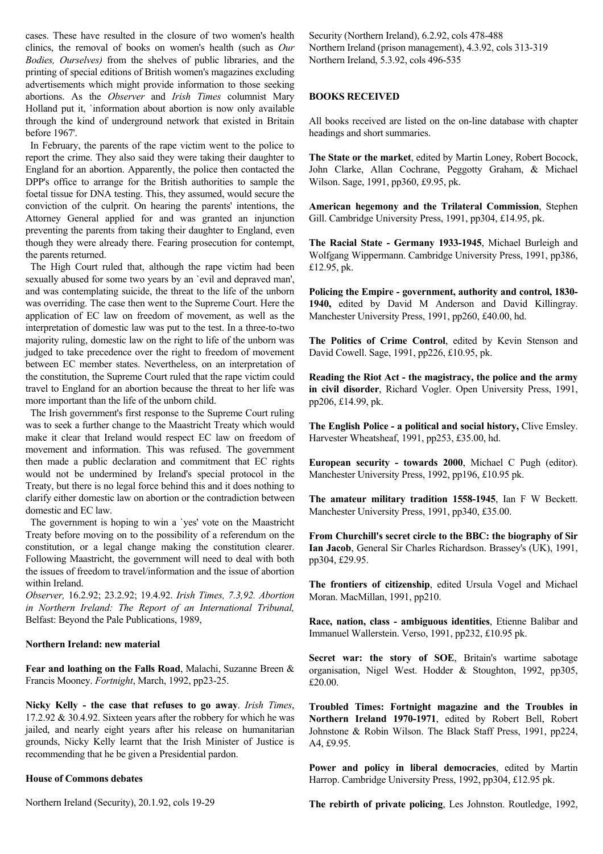cases. These have resulted in the closure of two women's health clinics, the removal of books on women's health (such as *Our Bodies, Ourselves)* from the shelves of public libraries, and the printing of special editions of British women's magazines excluding advertisements which might provide information to those seeking abortions. As the *Observer* and *Irish Times* columnist Mary Holland put it, `information about abortion is now only available through the kind of underground network that existed in Britain before 1967'.

 In February, the parents of the rape victim went to the police to report the crime. They also said they were taking their daughter to England for an abortion. Apparently, the police then contacted the DPP's office to arrange for the British authorities to sample the foetal tissue for DNA testing. This, they assumed, would secure the conviction of the culprit. On hearing the parents' intentions, the Attorney General applied for and was granted an injunction preventing the parents from taking their daughter to England, even though they were already there. Fearing prosecution for contempt, the parents returned.

 The High Court ruled that, although the rape victim had been sexually abused for some two years by an `evil and depraved man', and was contemplating suicide, the threat to the life of the unborn was overriding. The case then went to the Supreme Court. Here the application of EC law on freedom of movement, as well as the interpretation of domestic law was put to the test. In a three-to-two majority ruling, domestic law on the right to life of the unborn was judged to take precedence over the right to freedom of movement between EC member states. Nevertheless, on an interpretation of the constitution, the Supreme Court ruled that the rape victim could travel to England for an abortion because the threat to her life was more important than the life of the unborn child.

 The Irish government's first response to the Supreme Court ruling was to seek a further change to the Maastricht Treaty which would make it clear that Ireland would respect EC law on freedom of movement and information. This was refused. The government then made a public declaration and commitment that EC rights would not be undermined by Ireland's special protocol in the Treaty, but there is no legal force behind this and it does nothing to clarify either domestic law on abortion or the contradiction between domestic and EC law.

 The government is hoping to win a `yes' vote on the Maastricht Treaty before moving on to the possibility of a referendum on the constitution, or a legal change making the constitution clearer. Following Maastricht, the government will need to deal with both the issues of freedom to travel/information and the issue of abortion within Ireland.

*Observer,* 16.2.92; 23.2.92; 19.4.92. *Irish Times, 7.3,92. Abortion in Northern Ireland: The Report of an International Tribunal,*  Belfast: Beyond the Pale Publications, 1989,

### **Northern Ireland: new material**

**Fear and loathing on the Falls Road**, Malachi, Suzanne Breen & Francis Mooney. *Fortnight*, March, 1992, pp23-25.

**Nicky Kelly - the case that refuses to go away**. *Irish Times*, 17.2.92 & 30.4.92. Sixteen years after the robbery for which he was jailed, and nearly eight years after his release on humanitarian grounds, Nicky Kelly learnt that the Irish Minister of Justice is recommending that he be given a Presidential pardon.

### **House of Commons debates**

Northern Ireland (Security), 20.1.92, cols 19-29

Security (Northern Ireland), 6.2.92, cols 478-488 Northern Ireland (prison management), 4.3.92, cols 313-319 Northern Ireland, 5.3.92, cols 496-535

# **BOOKS RECEIVED**

All books received are listed on the on-line database with chapter headings and short summaries.

**The State or the market**, edited by Martin Loney, Robert Bocock, John Clarke, Allan Cochrane, Peggotty Graham, & Michael Wilson. Sage, 1991, pp360, £9.95, pk.

**American hegemony and the Trilateral Commission**, Stephen Gill. Cambridge University Press, 1991, pp304, £14.95, pk.

**The Racial State - Germany 1933-1945**, Michael Burleigh and Wolfgang Wippermann. Cambridge University Press, 1991, pp386, £12.95, pk.

**Policing the Empire - government, authority and control, 1830- 1940,** edited by David M Anderson and David Killingray. Manchester University Press, 1991, pp260, £40.00, hd.

**The Politics of Crime Control**, edited by Kevin Stenson and David Cowell. Sage, 1991, pp226, £10.95, pk.

**Reading the Riot Act - the magistracy, the police and the army in civil disorder**, Richard Vogler. Open University Press, 1991, pp206, £14.99, pk.

**The English Police - a political and social history,** Clive Emsley. Harvester Wheatsheaf, 1991, pp253, £35.00, hd.

**European security - towards 2000**, Michael C Pugh (editor). Manchester University Press, 1992, pp196, £10.95 pk.

**The amateur military tradition 1558-1945**, Ian F W Beckett. Manchester University Press, 1991, pp340, £35.00.

**From Churchill's secret circle to the BBC: the biography of Sir Ian Jacob**, General Sir Charles Richardson. Brassey's (UK), 1991, pp304, £29.95.

**The frontiers of citizenship**, edited Ursula Vogel and Michael Moran. MacMillan, 1991, pp210.

**Race, nation, class - ambiguous identities**, Etienne Balibar and Immanuel Wallerstein. Verso, 1991, pp232, £10.95 pk.

**Secret war: the story of SOE**, Britain's wartime sabotage organisation, Nigel West. Hodder & Stoughton, 1992, pp305, £20.00.

**Troubled Times: Fortnight magazine and the Troubles in Northern Ireland 1970-1971**, edited by Robert Bell, Robert Johnstone & Robin Wilson. The Black Staff Press, 1991, pp224, A4, £9.95.

**Power and policy in liberal democracies**, edited by Martin Harrop. Cambridge University Press, 1992, pp304, £12.95 pk.

**The rebirth of private policing**, Les Johnston. Routledge, 1992,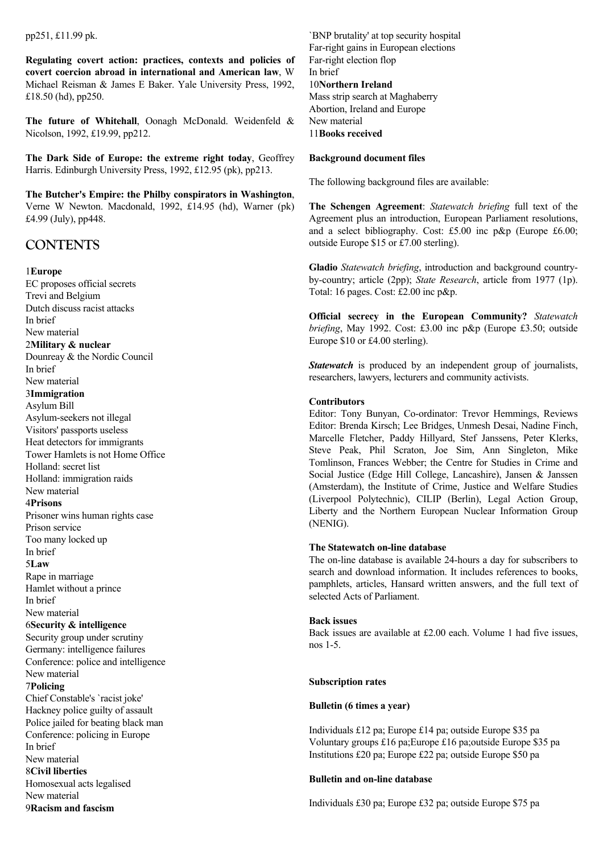pp251, £11.99 pk.

**Regulating covert action: practices, contexts and policies of covert coercion abroad in international and American law**, W Michael Reisman & James E Baker. Yale University Press, 1992, £18.50 (hd), pp250.

**The future of Whitehall**, Oonagh McDonald. Weidenfeld & Nicolson, 1992, £19.99, pp212.

**The Dark Side of Europe: the extreme right today**, Geoffrey Harris. Edinburgh University Press, 1992, £12.95 (pk), pp213.

**The Butcher's Empire: the Philby conspirators in Washington**, Verne W Newton. Macdonald, 1992, £14.95 (hd), Warner (pk) £4.99 (July), pp448.

# **CONTENTS**

### 1**Europe**

EC proposes official secrets Trevi and Belgium Dutch discuss racist attacks In brief New material 2**Military & nuclear** Dounreay & the Nordic Council In brief New material 3**Immigration** Asylum Bill Asylum-seekers not illegal Visitors' passports useless Heat detectors for immigrants Tower Hamlets is not Home Office Holland: secret list Holland: immigration raids New material 4**Prisons** Prisoner wins human rights case Prison service Too many locked up In brief 5**Law** Rape in marriage Hamlet without a prince In brief New material 6**Security & intelligence** Security group under scrutiny Germany: intelligence failures Conference: police and intelligence New material 7**Policing** Chief Constable's `racist joke' Hackney police guilty of assault Police jailed for beating black man Conference: policing in Europe In brief New material 8**Civil liberties** Homosexual acts legalised New material 9**Racism and fascism**

`BNP brutality' at top security hospital Far-right gains in European elections Far-right election flop In brief 10**Northern Ireland** Mass strip search at Maghaberry Abortion, Ireland and Europe New material 11**Books received**

### **Background document files**

The following background files are available:

**The Schengen Agreement**: *Statewatch briefing* full text of the Agreement plus an introduction, European Parliament resolutions, and a select bibliography. Cost: £5.00 inc p&p (Europe £6.00; outside Europe \$15 or £7.00 sterling).

**Gladio** *Statewatch briefing*, introduction and background countryby-country; article (2pp); *State Research*, article from 1977 (1p). Total: 16 pages. Cost: £2.00 inc p&p.

**Official secrecy in the European Community?** *Statewatch briefing*, May 1992. Cost: £3.00 inc p&p (Europe £3.50; outside Europe \$10 or £4.00 sterling).

*Statewatch* is produced by an independent group of journalists, researchers, lawyers, lecturers and community activists.

### **Contributors**

Editor: Tony Bunyan, Co-ordinator: Trevor Hemmings, Reviews Editor: Brenda Kirsch; Lee Bridges, Unmesh Desai, Nadine Finch, Marcelle Fletcher, Paddy Hillyard, Stef Janssens, Peter Klerks, Steve Peak, Phil Scraton, Joe Sim, Ann Singleton, Mike Tomlinson, Frances Webber; the Centre for Studies in Crime and Social Justice (Edge Hill College, Lancashire), Jansen & Janssen (Amsterdam), the Institute of Crime, Justice and Welfare Studies (Liverpool Polytechnic), CILIP (Berlin), Legal Action Group, Liberty and the Northern European Nuclear Information Group (NENIG).

# **The Statewatch on-line database**

The on-line database is available 24-hours a day for subscribers to search and download information. It includes references to books, pamphlets, articles, Hansard written answers, and the full text of selected Acts of Parliament.

### **Back issues**

Back issues are available at £2.00 each. Volume 1 had five issues, nos 1-5.

### **Subscription rates**

# **Bulletin (6 times a year)**

Individuals £12 pa; Europe £14 pa; outside Europe \$35 pa Voluntary groups £16 pa;Europe £16 pa;outside Europe \$35 pa Institutions £20 pa; Europe £22 pa; outside Europe \$50 pa

### **Bulletin and on-line database**

Individuals £30 pa; Europe £32 pa; outside Europe \$75 pa